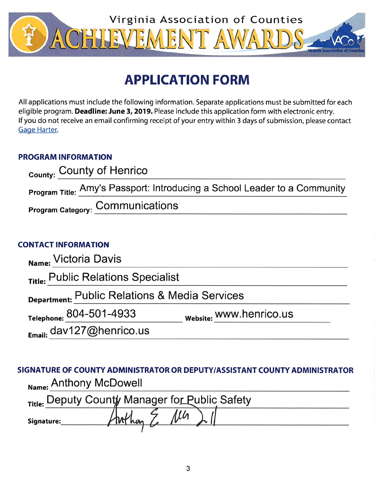

# **APPLICATION FORM**

All applications must include the following information. Separate applications must be submitted for each eligible program. Deadline: June 3, 2019. Please include this application form with electronic entry. If you do not receive an email confirming receipt of your entry within 3 days of submission, please contact **Gage Harter**.

## **PROGRAM INFORMATION**

| County: County of Henrico                                                 |
|---------------------------------------------------------------------------|
| Program Title: Amy's Passport: Introducing a School Leader to a Community |
| <b>Program Category: COMMUNICATIONS</b>                                   |

# **CONTACT INFORMATION**

| Name: Victoria Davis                          |                         |  |  |  |  |  |
|-----------------------------------------------|-------------------------|--|--|--|--|--|
| Title: Public Relations Specialist            |                         |  |  |  |  |  |
| Department: Public Relations & Media Services |                         |  |  |  |  |  |
| Telephone: 804-501-4933                       | Website: WWW.henrico.us |  |  |  |  |  |
| Email: dav127@henrico.us                      |                         |  |  |  |  |  |

SIGNATURE OF COUNTY ADMINISTRATOR OR DEPUTY/ASSISTANT COUNTY ADMINISTRATOR Name: Anthony McDowell

|            | Title: Deputy County Manager for Public Safety |  |  |
|------------|------------------------------------------------|--|--|
| Signature: |                                                |  |  |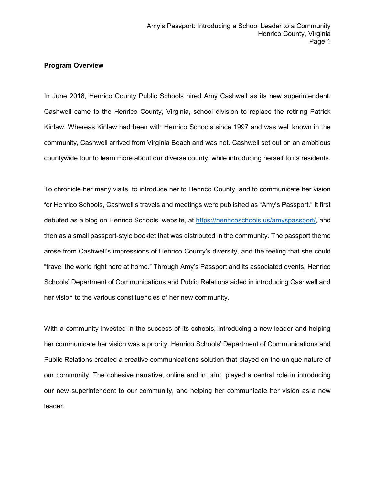#### **Program Overview**

In June 2018, Henrico County Public Schools hired Amy Cashwell as its new superintendent. Cashwell came to the Henrico County, Virginia, school division to replace the retiring Patrick Kinlaw. Whereas Kinlaw had been with Henrico Schools since 1997 and was well known in the community, Cashwell arrived from Virginia Beach and was not. Cashwell set out on an ambitious countywide tour to learn more about our diverse county, while introducing herself to its residents.

To chronicle her many visits, to introduce her to Henrico County, and to communicate her vision for Henrico Schools, Cashwell's travels and meetings were published as "Amy's Passport." It first debuted as a blog on Henrico Schools' website, at [https://henricoschools.us/amyspassport/,](https://henricoschools.us/amyspassport/) and then as a small passport-style booklet that was distributed in the community. The passport theme arose from Cashwell's impressions of Henrico County's diversity, and the feeling that she could "travel the world right here at home." Through Amy's Passport and its associated events, Henrico Schools' Department of Communications and Public Relations aided in introducing Cashwell and her vision to the various constituencies of her new community.

With a community invested in the success of its schools, introducing a new leader and helping her communicate her vision was a priority. Henrico Schools' Department of Communications and Public Relations created a creative communications solution that played on the unique nature of our community. The cohesive narrative, online and in print, played a central role in introducing our new superintendent to our community, and helping her communicate her vision as a new leader.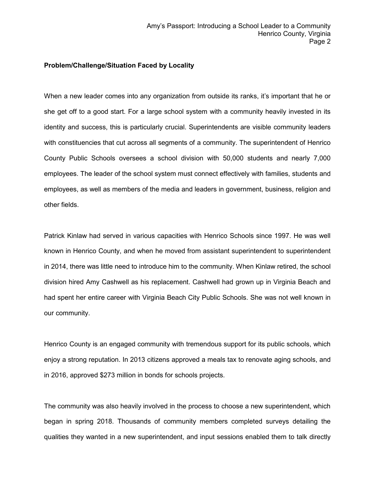#### **Problem/Challenge/Situation Faced by Locality**

When a new leader comes into any organization from outside its ranks, it's important that he or she get off to a good start. For a large school system with a community heavily invested in its identity and success, this is particularly crucial. Superintendents are visible community leaders with constituencies that cut across all segments of a community. The superintendent of Henrico County Public Schools oversees a school division with 50,000 students and nearly 7,000 employees. The leader of the school system must connect effectively with families, students and employees, as well as members of the media and leaders in government, business, religion and other fields.

Patrick Kinlaw had served in various capacities with Henrico Schools since 1997. He was well known in Henrico County, and when he moved from assistant superintendent to superintendent in 2014, there was little need to introduce him to the community. When Kinlaw retired, the school division hired Amy Cashwell as his replacement. Cashwell had grown up in Virginia Beach and had spent her entire career with Virginia Beach City Public Schools. She was not well known in our community.

Henrico County is an engaged community with tremendous support for its public schools, which enjoy a strong reputation. In 2013 citizens approved a meals tax to renovate aging schools, and in 2016, approved \$273 million in bonds for schools projects.

The community was also heavily involved in the process to choose a new superintendent, which began in spring 2018. Thousands of community members completed surveys detailing the qualities they wanted in a new superintendent, and input sessions enabled them to talk directly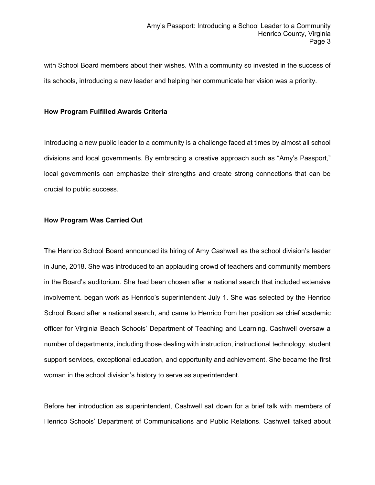with School Board members about their wishes. With a community so invested in the success of its schools, introducing a new leader and helping her communicate her vision was a priority.

#### **How Program Fulfilled Awards Criteria**

Introducing a new public leader to a community is a challenge faced at times by almost all school divisions and local governments. By embracing a creative approach such as "Amy's Passport," local governments can emphasize their strengths and create strong connections that can be crucial to public success.

#### **How Program Was Carried Out**

The Henrico School Board announced its hiring of Amy Cashwell as the school division's leader in June, 2018. She was introduced to an applauding crowd of teachers and community members in the Board's auditorium. She had been chosen after a national search that included extensive involvement. began work as Henrico's superintendent July 1. She was selected by the Henrico School Board after a national search, and came to Henrico from her position as chief academic officer for Virginia Beach Schools' Department of Teaching and Learning. Cashwell oversaw a number of departments, including those dealing with instruction, instructional technology, student support services, exceptional education, and opportunity and achievement. She became the first woman in the school division's history to serve as superintendent.

Before her introduction as superintendent, Cashwell sat down for a brief talk with members of Henrico Schools' Department of Communications and Public Relations. Cashwell talked about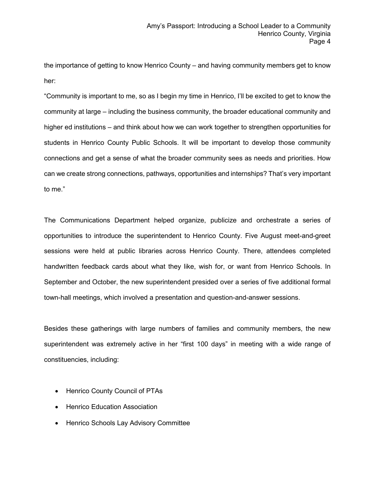the importance of getting to know Henrico County – and having community members get to know her:

"Community is important to me, so as I begin my time in Henrico, I'll be excited to get to know the community at large – including the business community, the broader educational community and higher ed institutions – and think about how we can work together to strengthen opportunities for students in Henrico County Public Schools. It will be important to develop those community connections and get a sense of what the broader community sees as needs and priorities. How can we create strong connections, pathways, opportunities and internships? That's very important to me."

The Communications Department helped organize, publicize and orchestrate a series of opportunities to introduce the superintendent to Henrico County. Five August meet-and-greet sessions were held at public libraries across Henrico County. There, attendees completed handwritten feedback cards about what they like, wish for, or want from Henrico Schools. In September and October, the new superintendent presided over a series of five additional formal town-hall meetings, which involved a presentation and question-and-answer sessions.

Besides these gatherings with large numbers of families and community members, the new superintendent was extremely active in her "first 100 days" in meeting with a wide range of constituencies, including:

- Henrico County Council of PTAs
- Henrico Education Association
- Henrico Schools Lay Advisory Committee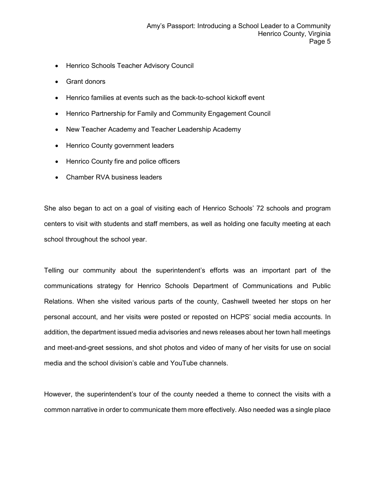- Henrico Schools Teacher Advisory Council
- Grant donors
- Henrico families at events such as the back-to-school kickoff event
- Henrico Partnership for Family and Community Engagement Council
- New Teacher Academy and Teacher Leadership Academy
- Henrico County government leaders
- Henrico County fire and police officers
- Chamber RVA business leaders

She also began to act on a goal of visiting each of Henrico Schools' 72 schools and program centers to visit with students and staff members, as well as holding one faculty meeting at each school throughout the school year.

Telling our community about the superintendent's efforts was an important part of the communications strategy for Henrico Schools Department of Communications and Public Relations. When she visited various parts of the county, Cashwell tweeted her stops on her personal account, and her visits were posted or reposted on HCPS' social media accounts. In addition, the department issued media advisories and news releases about her town hall meetings and meet-and-greet sessions, and shot photos and video of many of her visits for use on social media and the school division's cable and YouTube channels.

However, the superintendent's tour of the county needed a theme to connect the visits with a common narrative in order to communicate them more effectively. Also needed was a single place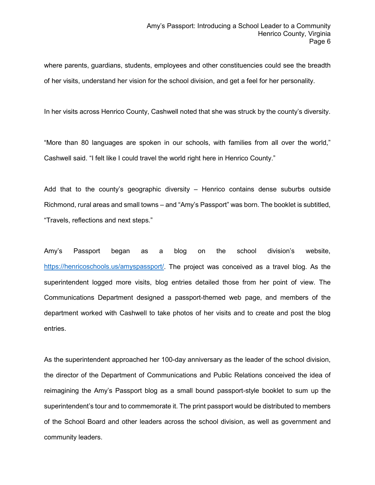where parents, guardians, students, employees and other constituencies could see the breadth of her visits, understand her vision for the school division, and get a feel for her personality.

In her visits across Henrico County, Cashwell noted that she was struck by the county's diversity.

"More than 80 languages are spoken in our schools, with families from all over the world," Cashwell said. "I felt like I could travel the world right here in Henrico County."

Add that to the county's geographic diversity – Henrico contains dense suburbs outside Richmond, rural areas and small towns – and "Amy's Passport" was born. The booklet is subtitled, "Travels, reflections and next steps."

Amy's Passport began as a blog on the school division's website, [https://henricoschools.us/amyspassport/.](https://henricoschools.us/amyspassport/) The project was conceived as a travel blog. As the superintendent logged more visits, blog entries detailed those from her point of view. The Communications Department designed a passport-themed web page, and members of the department worked with Cashwell to take photos of her visits and to create and post the blog entries.

As the superintendent approached her 100-day anniversary as the leader of the school division, the director of the Department of Communications and Public Relations conceived the idea of reimagining the Amy's Passport blog as a small bound passport-style booklet to sum up the superintendent's tour and to commemorate it. The print passport would be distributed to members of the School Board and other leaders across the school division, as well as government and community leaders.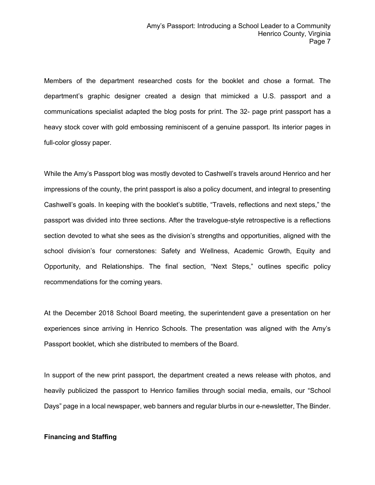Members of the department researched costs for the booklet and chose a format. The department's graphic designer created a design that mimicked a U.S. passport and a communications specialist adapted the blog posts for print. The 32- page print passport has a heavy stock cover with gold embossing reminiscent of a genuine passport. Its interior pages in full-color glossy paper.

While the Amy's Passport blog was mostly devoted to Cashwell's travels around Henrico and her impressions of the county, the print passport is also a policy document, and integral to presenting Cashwell's goals. In keeping with the booklet's subtitle, "Travels, reflections and next steps," the passport was divided into three sections. After the travelogue-style retrospective is a reflections section devoted to what she sees as the division's strengths and opportunities, aligned with the school division's four cornerstones: Safety and Wellness, Academic Growth, Equity and Opportunity, and Relationships. The final section, "Next Steps," outlines specific policy recommendations for the coming years.

At the December 2018 School Board meeting, the superintendent gave a presentation on her experiences since arriving in Henrico Schools. The presentation was aligned with the Amy's Passport booklet, which she distributed to members of the Board.

In support of the new print passport, the department created a news release with photos, and heavily publicized the passport to Henrico families through social media, emails, our "School Days" page in a local newspaper, web banners and regular blurbs in our e-newsletter, The Binder.

## **Financing and Staffing**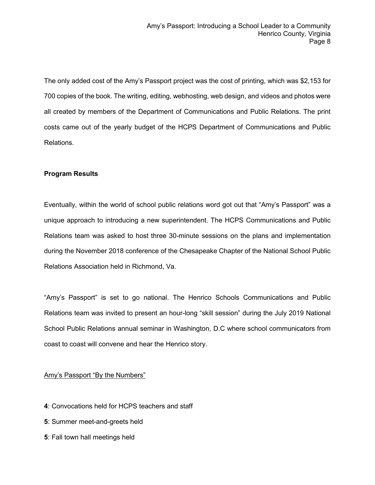The only added cost of the Amy's Passport project was the cost of printing, which was \$2,153 for 700 copies of the book. The writing, editing, webhosting, web design, and videos and photos were all created by members of the Department of Communications and Public Relations. The print costs came out of the yearly budget of the HCPS Department of Communications and Public Relations.

## **Program Results**

Eventually, within the world of school public relations word got out that "Amy's Passport" was a unique approach to introducing a new superintendent. The HCPS Communications and Public Relations team was asked to host three 30-minute sessions on the plans and implementation during the November 2018 conference of the Chesapeake Chapter of the National School Public Relations Association held in Richmond, Va.

"Amy's Passport" is set to go national. The Henrico Schools Communications and Public Relations team was invited to present an hour-long "skill session" during the July 2019 National School Public Relations annual seminar in Washington, D.C where school communicators from coast to coast will convene and hear the Henrico story.

## Amy's Passport "By the Numbers"

- **4**: Convocations held for HCPS teachers and staff
- **5**: Summer meet-and-greets held
- **5**: Fall town hall meetings held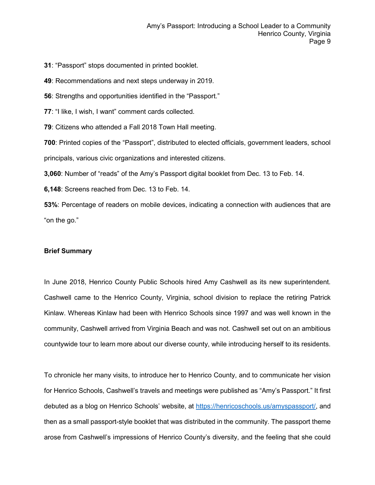**31**: "Passport" stops documented in printed booklet.

**49**: Recommendations and next steps underway in 2019.

**56**: Strengths and opportunities identified in the "Passport."

**77**: "I like, I wish, I want" comment cards collected.

**79**: Citizens who attended a Fall 2018 Town Hall meeting.

**700**: Printed copies of the "Passport", distributed to elected officials, government leaders, school

principals, various civic organizations and interested citizens.

**3,060**: Number of "reads" of the Amy's Passport digital booklet from Dec. 13 to Feb. 14.

**6,148**: Screens reached from Dec. 13 to Feb. 14.

**53%**: Percentage of readers on mobile devices, indicating a connection with audiences that are "on the go."

#### **Brief Summary**

In June 2018, Henrico County Public Schools hired Amy Cashwell as its new superintendent. Cashwell came to the Henrico County, Virginia, school division to replace the retiring Patrick Kinlaw. Whereas Kinlaw had been with Henrico Schools since 1997 and was well known in the community, Cashwell arrived from Virginia Beach and was not. Cashwell set out on an ambitious countywide tour to learn more about our diverse county, while introducing herself to its residents.

To chronicle her many visits, to introduce her to Henrico County, and to communicate her vision for Henrico Schools, Cashwell's travels and meetings were published as "Amy's Passport." It first debuted as a blog on Henrico Schools' website, at [https://henricoschools.us/amyspassport/,](https://henricoschools.us/amyspassport/) and then as a small passport-style booklet that was distributed in the community. The passport theme arose from Cashwell's impressions of Henrico County's diversity, and the feeling that she could